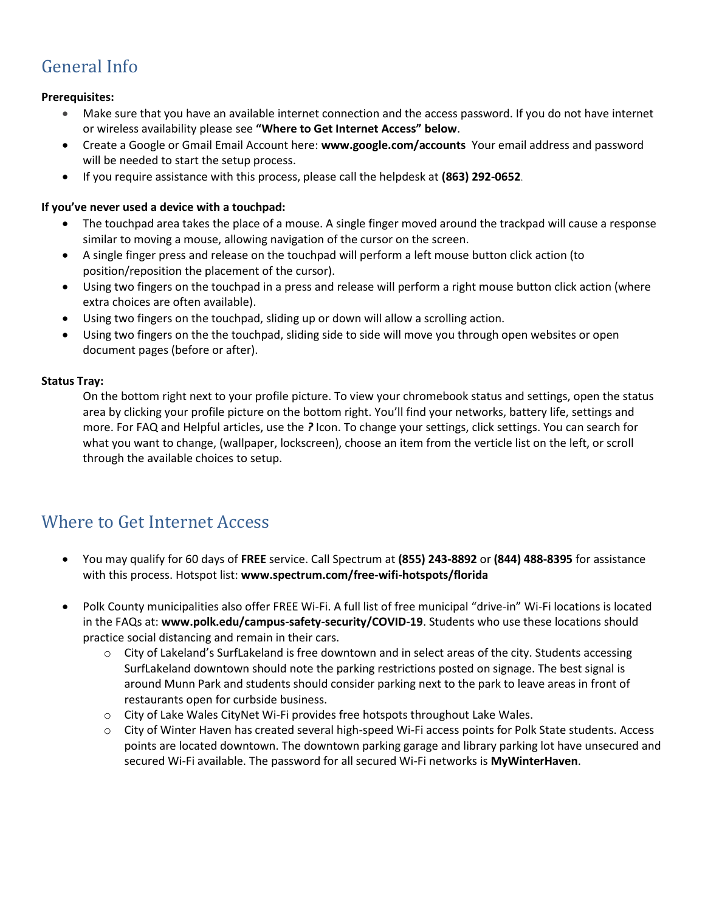# General Info

### **Prerequisites:**

- Make sure that you have an available internet connection and the access password. If you do not have internet or wireless availability please see **"Where to Get Internet Access" below**.
- Create a Google or Gmail Email Account here: **[www.google.com/accounts](http://www.google.com/accounts)** Your email address and password will be needed to start the setup process.
- If you require assistance with this process, please call the helpdesk at **(863) 292-0652**.

### **If you've never used a device with a touchpad:**

- The touchpad area takes the place of a mouse. A single finger moved around the trackpad will cause a response similar to moving a mouse, allowing navigation of the cursor on the screen.
- A single finger press and release on the touchpad will perform a left mouse button click action (to position/reposition the placement of the cursor).
- Using two fingers on the touchpad in a press and release will perform a right mouse button click action (where extra choices are often available).
- Using two fingers on the touchpad, sliding up or down will allow a scrolling action.
- Using two fingers on the the touchpad, sliding side to side will move you through open websites or open document pages (before or after).

#### **Status Tray:**

On the bottom right next to your profile picture. To view your chromebook status and settings, open the status area by clicking your profile picture on the bottom right. You'll find your networks, battery life, settings and more. For FAQ and Helpful articles, use the *?* Icon. To change your settings, click settings. You can search for what you want to change, (wallpaper, lockscreen), choose an item from the verticle list on the left, or scroll through the available choices to setup.

### Where to Get Internet Access

- You may qualify for 60 days of **FREE** service. Call Spectrum at **(855) 243-8892** or **(844) 488-8395** for assistance with this process. Hotspot list: **[www.spectrum.com/free-wifi-hotspots/florida](http://www.spectrum.com/free-wifi-hotspots/florida)**
- Polk County municipalities also offer FREE Wi-Fi. A full list of free municipal "drive-in" Wi-Fi locations is located in the FAQs at: **[www.polk.edu/campus-safety-security/COVID-19](http://www.polk.edu/campus-safety-security/COVID-19)**. Students who use these locations should practice social distancing and remain in their cars.
	- $\circ$  City of Lakeland's [SurfLakeland](https://www.lakelandgov.net/departments/information-technology/surflakeland/) is free downtown and in select areas of the city. Students accessing SurfLakeland downtown should note the parking restrictions posted on signage. The best signal is around Munn Park and students should consider parking next to the park to leave areas in front of restaurants open for curbside business.
	- o City of Lake Wales [CityNet](https://www.lakewalesfl.gov/766/CityNet-Wifi) Wi-Fi provides free hotspots throughout Lake Wales.
	- o City of Winter Haven has created several high-speed Wi-Fi access points for Polk State students. [Access](https://www.mainstreetwh.com/kiosk-map/) points are located [downtown.](https://www.mainstreetwh.com/kiosk-map/) The downtown parking garage and library parking lot have unsecured and secured Wi-Fi available. The password for all secured Wi-Fi networks is **MyWinterHaven**.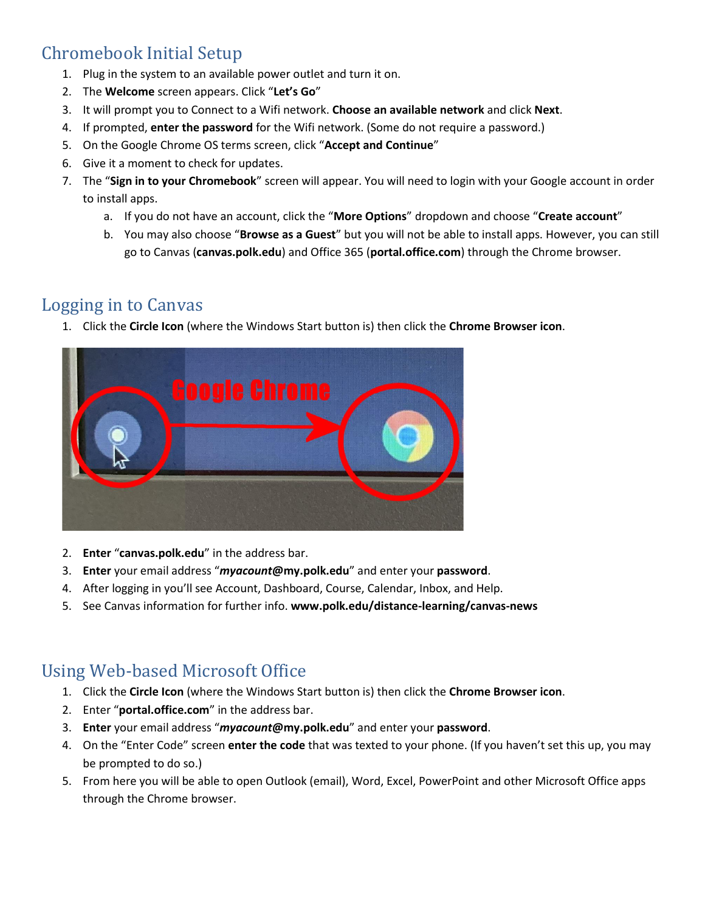# Chromebook Initial Setup

- 1. Plug in the system to an available power outlet and turn it on.
- 2. The **Welcome** screen appears. Click "**Let's Go**"
- 3. It will prompt you to Connect to a Wifi network. **Choose an available network** and click **Next**.
- 4. If prompted, **enter the password** for the Wifi network. (Some do not require a password.)
- 5. On the Google Chrome OS terms screen, click "**Accept and Continue**"
- 6. Give it a moment to check for updates.
- 7. The "**Sign in to your Chromebook**" screen will appear. You will need to login with your Google account in order to install apps.
	- a. If you do not have an account, click the "**More Options**" dropdown and choose "**Create account**"
	- b. You may also choose "**Browse as a Guest**" but you will not be able to install apps. However, you can still go to Canvas (**canvas.polk.edu**) and Office 365 (**portal.office.com**) through the Chrome browser.

### Logging in to Canvas

1. Click the **Circle Icon** (where the Windows Start button is) then click the **Chrome Browser icon**.



- 2. **Enter** "**canvas.polk.edu**" in the address bar.
- 3. **Enter** your email address "*myacount***@my.polk.edu**" and enter your **password**.
- 4. After logging in you'll see Account, Dashboard, Course, Calendar, Inbox, and Help.
- 5. See Canvas information for further info. **www.polk.edu/distance-learning/canvas-news**

## Using Web-based Microsoft Office

- 1. Click the **Circle Icon** (where the Windows Start button is) then click the **Chrome Browser icon**.
- 2. Enter "**portal.office.com**" in the address bar.
- 3. **Enter** your email address "*myacount***@my.polk.edu**" and enter your **password**.
- 4. On the "Enter Code" screen **enter the code** that was texted to your phone. (If you haven't set this up, you may be prompted to do so.)
- 5. From here you will be able to open Outlook (email), Word, Excel, PowerPoint and other Microsoft Office apps through the Chrome browser.